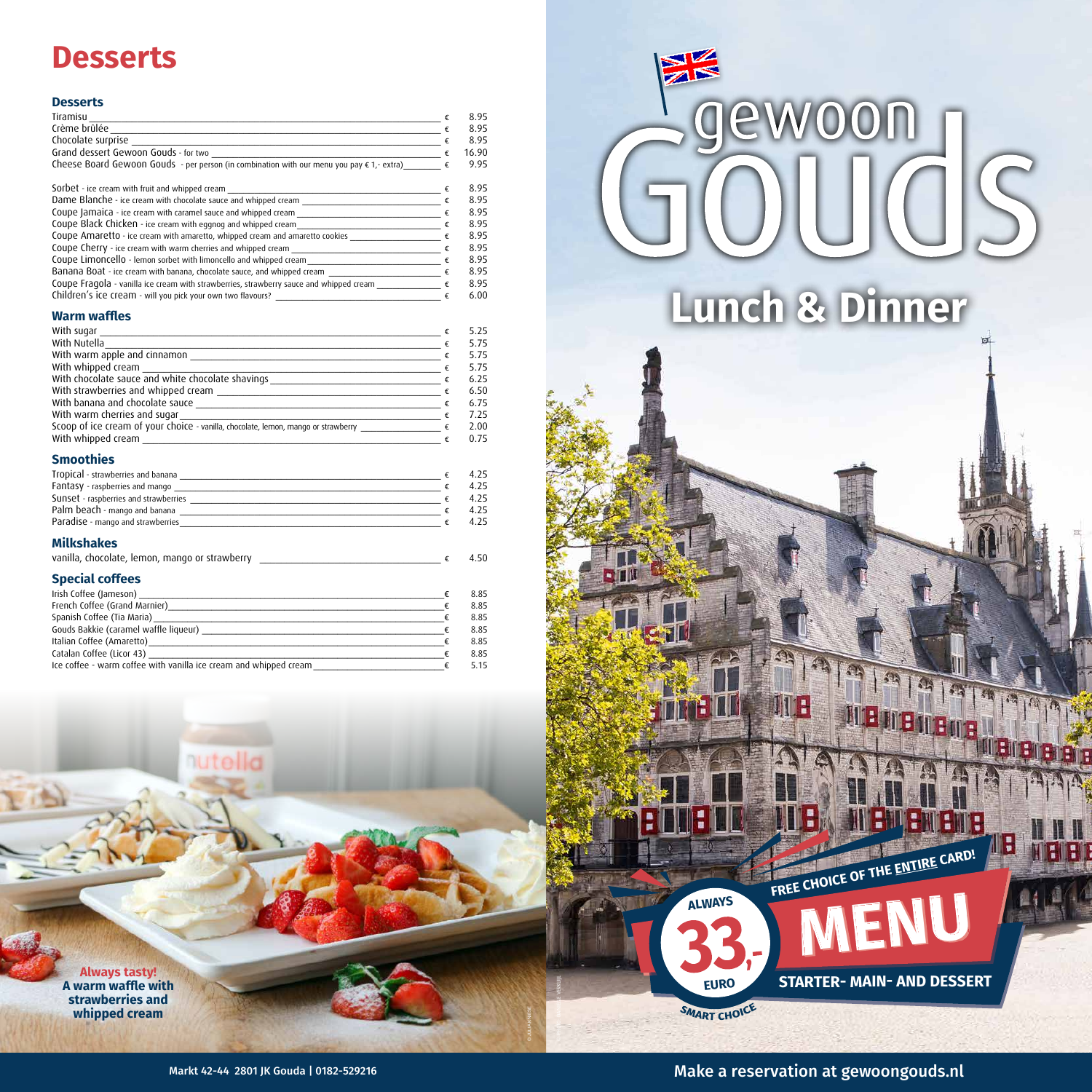# **Desserts**

| Tiramisu                                                                                   | 8.95  |
|--------------------------------------------------------------------------------------------|-------|
| Crème brûlée                                                                               | 8.95  |
| Chocolate surprise                                                                         | 8.95  |
| Grand dessert Gewoon Gouds - for two                                                       | 16.90 |
| Cheese Board Gewoon Gouds - per person (in combination with our menu you pay € 1,- extra). | 9.95  |



### **Desserts**

| Sorbet - ice cream with fruit and whipped cream                                         |   | 8.95 |
|-----------------------------------------------------------------------------------------|---|------|
| Dame Blanche - ice cream with chocolate sauce and whipped cream                         |   | 8.95 |
| Coupe Jamaica - ice cream with caramel sauce and whipped cream                          | € | 8.95 |
| Coupe Black Chicken - ice cream with eggnog and whipped cream                           |   | 8.95 |
| Coupe Amaretto - ice cream with amaretto, whipped cream and amaretto cookies            |   | 8.95 |
| Coupe Cherry - ice cream with warm cherries and whipped cream                           | € | 8.95 |
| Coupe Limoncello - lemon sorbet with limoncello and whipped cream                       |   | 8.95 |
| Banana Boat - ice cream with banana, chocolate sauce, and whipped cream                 |   | 8.95 |
| Coupe Fragola - vanilla ice cream with strawberries, strawberry sauce and whipped cream |   | 8.95 |
| Children's ice cream - will you pick your own two flavours?                             |   | 6.00 |

### **Warm waffles**

| With sugar                                                                              | 5.25<br>€   |
|-----------------------------------------------------------------------------------------|-------------|
| With Nutella                                                                            | 5.75<br>€   |
| With warm apple and cinnamon                                                            | 5.75        |
| With whipped cream                                                                      | 5.75<br>€   |
| With chocolate sauce and white chocolate shavings                                       | 6.25<br>€   |
| With strawberries and whipped cream                                                     | 6.50<br>€   |
| With banana and chocolate sauce                                                         | 6.75<br>€   |
| With warm cherries and sugar                                                            | 7.25<br>-€. |
| Scoop of ice cream of your choice - vanilla, chocolate, lemon, mango or strawberry ____ | 2.00<br>€   |
| With whipped cream                                                                      | 0.75        |

### **Smoothies**

| Tropical - strawberries and banana    | 4.25 |
|---------------------------------------|------|
| Fantasy - raspberries and mango       | 4.25 |
| Sunset - raspberries and strawberries | 4.25 |
| Palm beach - mango and banana         | 4.25 |
| Paradise - mango and strawberries     | 4.25 |

### **Milkshakes**

| vanilla, chocolate, lemon, mango or strawberry |  |  |
|------------------------------------------------|--|--|
|------------------------------------------------|--|--|

# **Special coffees**

| Irish Coffee (Jameson)                                            | 8.85 |
|-------------------------------------------------------------------|------|
| French Coffee (Grand Marnier)                                     | 8.85 |
| Spanish Coffee (Tia Maria)                                        | 8.85 |
| Gouds Bakkie (caramel waffle liqueur)                             | 8.85 |
| Italian Coffee (Amaretto)                                         | 8.85 |
| Catalan Coffee (Licor 43)                                         | 8.85 |
| Ice coffee - warm coffee with vanilla ice cream and whipped cream | 5.15 |

nutella



Markt 42-44 2801 JK Gouda | 0182-529216 **Markt 42-44 2801 JK Gouda | 0182-529216** Make a reservation at gewoongouds.nl

WI :

BIBIBI